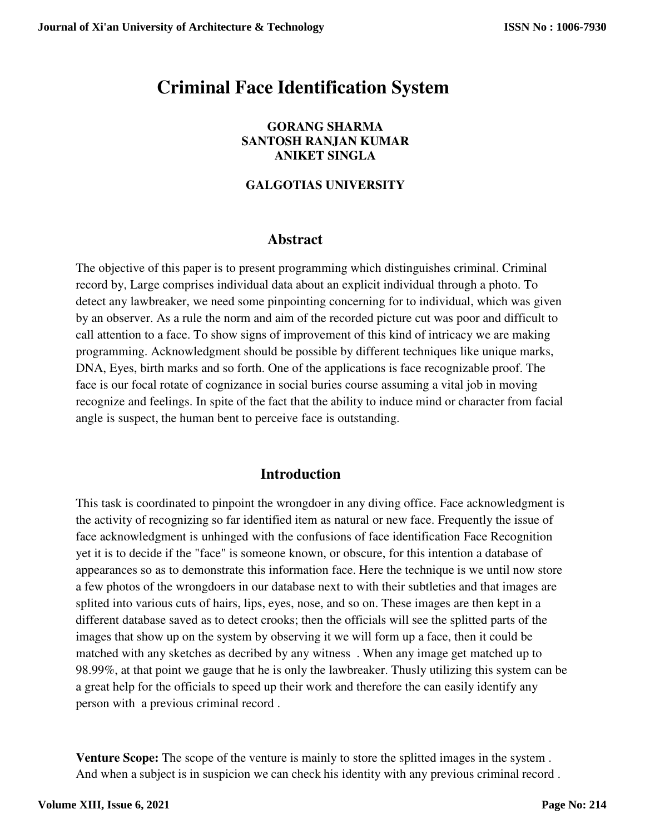# **Criminal Face Identification System**

#### **GORANG SHARMA SANTOSH RANJAN KUMAR ANIKET SINGLA**

### **GALGOTIAS UNIVERSITY**

# **Abstract**

The objective of this paper is to present programming which distinguishes criminal. Criminal record by, Large comprises individual data about an explicit individual through a photo. To detect any lawbreaker, we need some pinpointing concerning for to individual, which was given by an observer. As a rule the norm and aim of the recorded picture cut was poor and difficult to call attention to a face. To show signs of improvement of this kind of intricacy we are making programming. Acknowledgment should be possible by different techniques like unique marks, DNA, Eyes, birth marks and so forth. One of the applications is face recognizable proof. The face is our focal rotate of cognizance in social buries course assuming a vital job in moving recognize and feelings. In spite of the fact that the ability to induce mind or character from facial angle is suspect, the human bent to perceive face is outstanding.

# **Introduction**

This task is coordinated to pinpoint the wrongdoer in any diving office. Face acknowledgment is the activity of recognizing so far identified item as natural or new face. Frequently the issue of face acknowledgment is unhinged with the confusions of face identification Face Recognition yet it is to decide if the "face" is someone known, or obscure, for this intention a database of appearances so as to demonstrate this information face. Here the technique is we until now store a few photos of the wrongdoers in our database next to with their subtleties and that images are splited into various cuts of hairs, lips, eyes, nose, and so on. These images are then kept in a different database saved as to detect crooks; then the officials will see the splitted parts of the images that show up on the system by observing it we will form up a face, then it could be matched with any sketches as decribed by any witness . When any image get matched up to 98.99%, at that point we gauge that he is only the lawbreaker. Thusly utilizing this system can be a great help for the officials to speed up their work and therefore the can easily identify any person with a previous criminal record .

**Venture Scope:** The scope of the venture is mainly to store the splitted images in the system . And when a subject is in suspicion we can check his identity with any previous criminal record .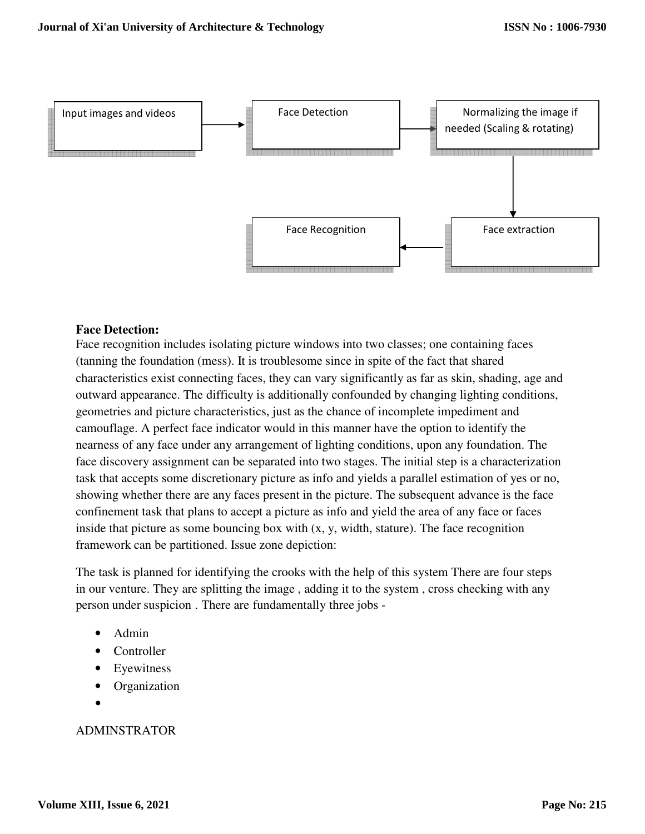

### **Face Detection:**

Face recognition includes isolating picture windows into two classes; one containing faces (tanning the foundation (mess). It is troublesome since in spite of the fact that shared characteristics exist connecting faces, they can vary significantly as far as skin, shading, age and outward appearance. The difficulty is additionally confounded by changing lighting conditions, geometries and picture characteristics, just as the chance of incomplete impediment and camouflage. A perfect face indicator would in this manner have the option to identify the nearness of any face under any arrangement of lighting conditions, upon any foundation. The face discovery assignment can be separated into two stages. The initial step is a characterization task that accepts some discretionary picture as info and yields a parallel estimation of yes or no, showing whether there are any faces present in the picture. The subsequent advance is the face confinement task that plans to accept a picture as info and yield the area of any face or faces inside that picture as some bouncing box with (x, y, width, stature). The face recognition framework can be partitioned. Issue zone depiction:

The task is planned for identifying the crooks with the help of this system There are four steps in our venture. They are splitting the image , adding it to the system , cross checking with any person under suspicion . There are fundamentally three jobs -

- Admin
- **Controller**
- Eyewitness
- Organization
- •

#### ADMINSTRATOR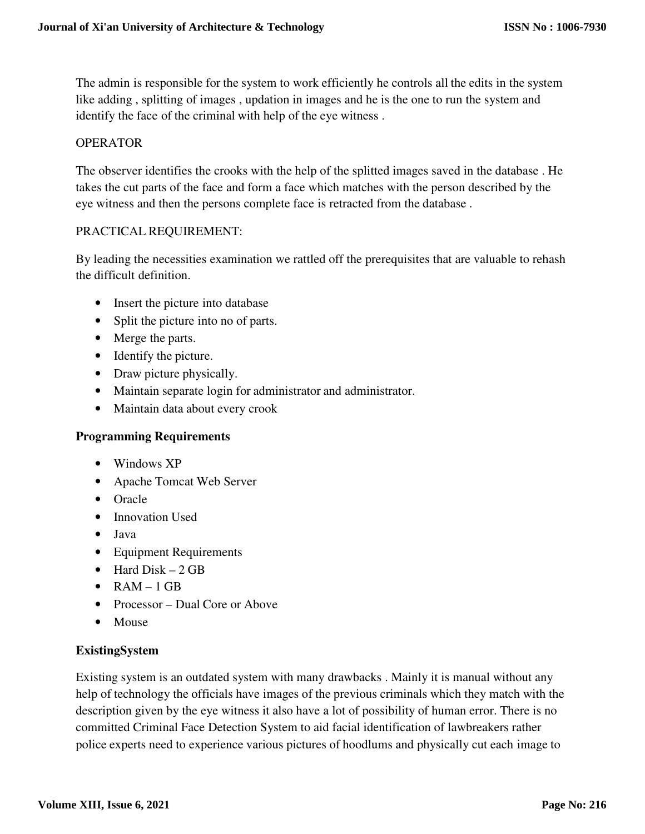The admin is responsible for the system to work efficiently he controls all the edits in the system like adding , splitting of images , updation in images and he is the one to run the system and identify the face of the criminal with help of the eye witness .

### OPERATOR

The observer identifies the crooks with the help of the splitted images saved in the database . He takes the cut parts of the face and form a face which matches with the person described by the eye witness and then the persons complete face is retracted from the database .

#### PRACTICAL REQUIREMENT:

By leading the necessities examination we rattled off the prerequisites that are valuable to rehash the difficult definition.

- Insert the picture into database
- Split the picture into no of parts.
- Merge the parts.
- Identify the picture.
- Draw picture physically.
- Maintain separate login for administrator and administrator.
- Maintain data about every crook

#### **Programming Requirements**

- Windows XP
- Apache Tomcat Web Server
- Oracle
- Innovation Used
- Java
- Equipment Requirements
- Hard  $Disk 2 GB$
- $RAM 1 GB$
- Processor Dual Core or Above
- Mouse

#### **ExistingSystem**

Existing system is an outdated system with many drawbacks . Mainly it is manual without any help of technology the officials have images of the previous criminals which they match with the description given by the eye witness it also have a lot of possibility of human error. There is no committed Criminal Face Detection System to aid facial identification of lawbreakers rather police experts need to experience various pictures of hoodlums and physically cut each image to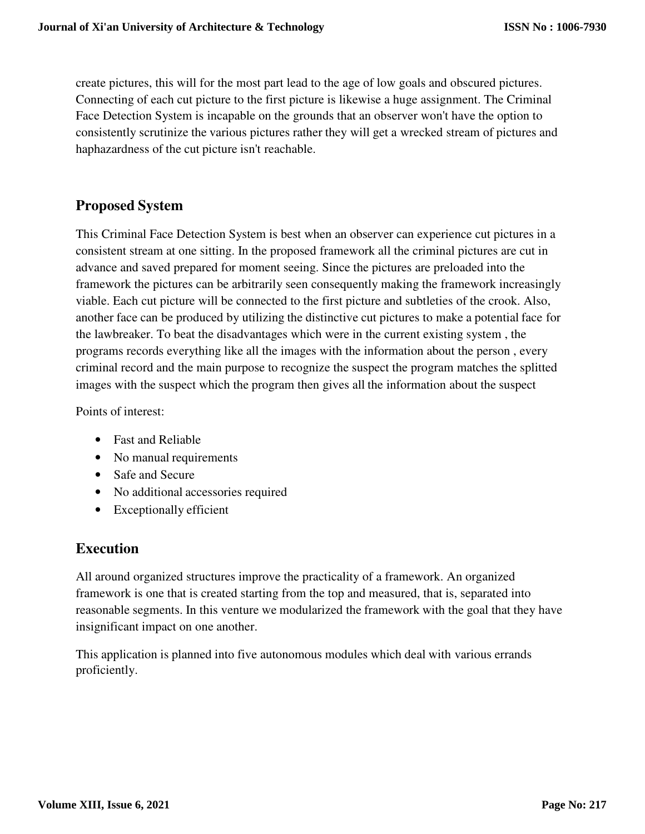create pictures, this will for the most part lead to the age of low goals and obscured pictures. Connecting of each cut picture to the first picture is likewise a huge assignment. The Criminal Face Detection System is incapable on the grounds that an observer won't have the option to consistently scrutinize the various pictures rather they will get a wrecked stream of pictures and haphazardness of the cut picture isn't reachable.

# **Proposed System**

This Criminal Face Detection System is best when an observer can experience cut pictures in a consistent stream at one sitting. In the proposed framework all the criminal pictures are cut in advance and saved prepared for moment seeing. Since the pictures are preloaded into the framework the pictures can be arbitrarily seen consequently making the framework increasingly viable. Each cut picture will be connected to the first picture and subtleties of the crook. Also, another face can be produced by utilizing the distinctive cut pictures to make a potential face for the lawbreaker. To beat the disadvantages which were in the current existing system , the programs records everything like all the images with the information about the person , every criminal record and the main purpose to recognize the suspect the program matches the splitted images with the suspect which the program then gives all the information about the suspect

Points of interest:

- Fast and Reliable
- No manual requirements
- Safe and Secure
- No additional accessories required
- Exceptionally efficient

# **Execution**

All around organized structures improve the practicality of a framework. An organized framework is one that is created starting from the top and measured, that is, separated into reasonable segments. In this venture we modularized the framework with the goal that they have insignificant impact on one another.

This application is planned into five autonomous modules which deal with various errands proficiently.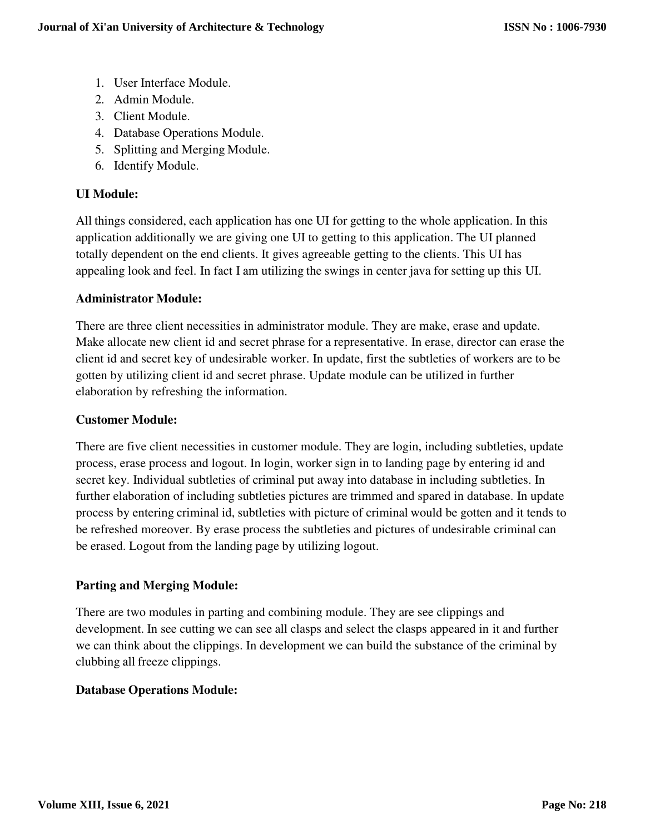- 1. User Interface Module.
- 2. Admin Module.
- 3. Client Module.
- 4. Database Operations Module.
- 5. Splitting and Merging Module.
- 6. Identify Module.

# **UI Module:**

All things considered, each application has one UI for getting to the whole application. In this application additionally we are giving one UI to getting to this application. The UI planned totally dependent on the end clients. It gives agreeable getting to the clients. This UI has appealing look and feel. In fact I am utilizing the swings in center java for setting up this UI.

# **Administrator Module:**

There are three client necessities in administrator module. They are make, erase and update. Make allocate new client id and secret phrase for a representative. In erase, director can erase the client id and secret key of undesirable worker. In update, first the subtleties of workers are to be gotten by utilizing client id and secret phrase. Update module can be utilized in further elaboration by refreshing the information.

### **Customer Module:**

There are five client necessities in customer module. They are login, including subtleties, update process, erase process and logout. In login, worker sign in to landing page by entering id and secret key. Individual subtleties of criminal put away into database in including subtleties. In further elaboration of including subtleties pictures are trimmed and spared in database. In update process by entering criminal id, subtleties with picture of criminal would be gotten and it tends to be refreshed moreover. By erase process the subtleties and pictures of undesirable criminal can be erased. Logout from the landing page by utilizing logout.

# **Parting and Merging Module:**

There are two modules in parting and combining module. They are see clippings and development. In see cutting we can see all clasps and select the clasps appeared in it and further we can think about the clippings. In development we can build the substance of the criminal by clubbing all freeze clippings.

### **Database Operations Module:**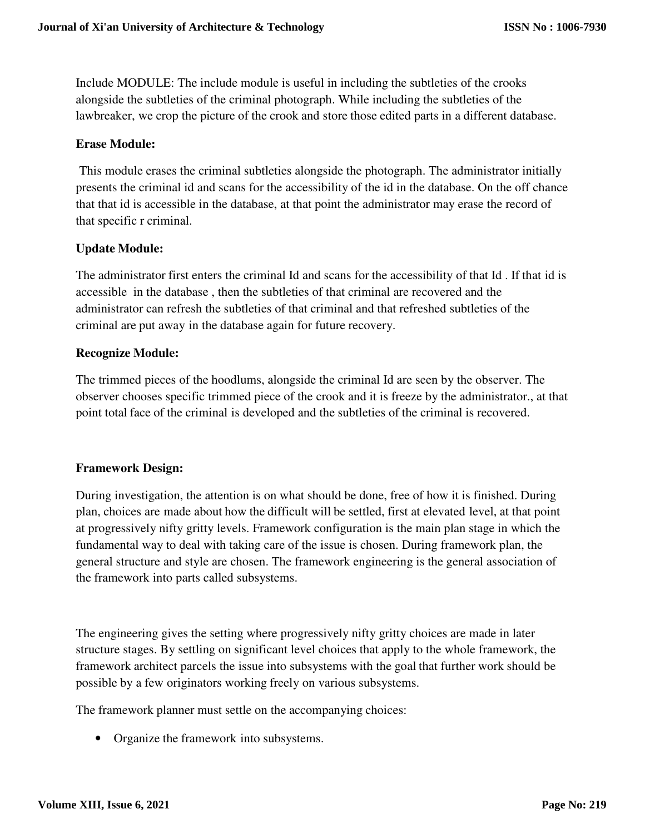Include MODULE: The include module is useful in including the subtleties of the crooks alongside the subtleties of the criminal photograph. While including the subtleties of the lawbreaker, we crop the picture of the crook and store those edited parts in a different database.

#### **Erase Module:**

This module erases the criminal subtleties alongside the photograph. The administrator initially presents the criminal id and scans for the accessibility of the id in the database. On the off chance that that id is accessible in the database, at that point the administrator may erase the record of that specific r criminal.

#### **Update Module:**

The administrator first enters the criminal Id and scans for the accessibility of that Id . If that id is accessible in the database , then the subtleties of that criminal are recovered and the administrator can refresh the subtleties of that criminal and that refreshed subtleties of the criminal are put away in the database again for future recovery.

#### **Recognize Module:**

The trimmed pieces of the hoodlums, alongside the criminal Id are seen by the observer. The observer chooses specific trimmed piece of the crook and it is freeze by the administrator., at that point total face of the criminal is developed and the subtleties of the criminal is recovered.

#### **Framework Design:**

During investigation, the attention is on what should be done, free of how it is finished. During plan, choices are made about how the difficult will be settled, first at elevated level, at that point at progressively nifty gritty levels. Framework configuration is the main plan stage in which the fundamental way to deal with taking care of the issue is chosen. During framework plan, the general structure and style are chosen. The framework engineering is the general association of the framework into parts called subsystems.

The engineering gives the setting where progressively nifty gritty choices are made in later structure stages. By settling on significant level choices that apply to the whole framework, the framework architect parcels the issue into subsystems with the goal that further work should be possible by a few originators working freely on various subsystems.

The framework planner must settle on the accompanying choices:

• Organize the framework into subsystems.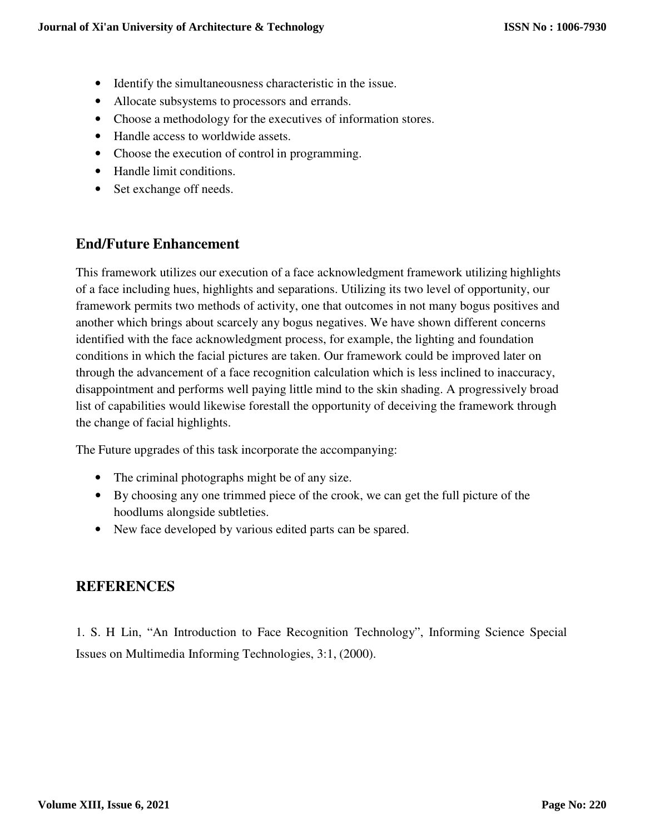- Identify the simultaneousness characteristic in the issue.
- Allocate subsystems to processors and errands.
- Choose a methodology for the executives of information stores.
- Handle access to worldwide assets.
- Choose the execution of control in programming.
- Handle limit conditions.
- Set exchange off needs.

# **End/Future Enhancement**

This framework utilizes our execution of a face acknowledgment framework utilizing highlights of a face including hues, highlights and separations. Utilizing its two level of opportunity, our framework permits two methods of activity, one that outcomes in not many bogus positives and another which brings about scarcely any bogus negatives. We have shown different concerns identified with the face acknowledgment process, for example, the lighting and foundation conditions in which the facial pictures are taken. Our framework could be improved later on through the advancement of a face recognition calculation which is less inclined to inaccuracy, disappointment and performs well paying little mind to the skin shading. A progressively broad list of capabilities would likewise forestall the opportunity of deceiving the framework through the change of facial highlights.

The Future upgrades of this task incorporate the accompanying:

- The criminal photographs might be of any size.
- By choosing any one trimmed piece of the crook, we can get the full picture of the hoodlums alongside subtleties.
- New face developed by various edited parts can be spared.

# **REFERENCES**

1. S. H Lin, "An Introduction to Face Recognition Technology", Informing Science Special Issues on Multimedia Informing Technologies, 3:1, (2000).